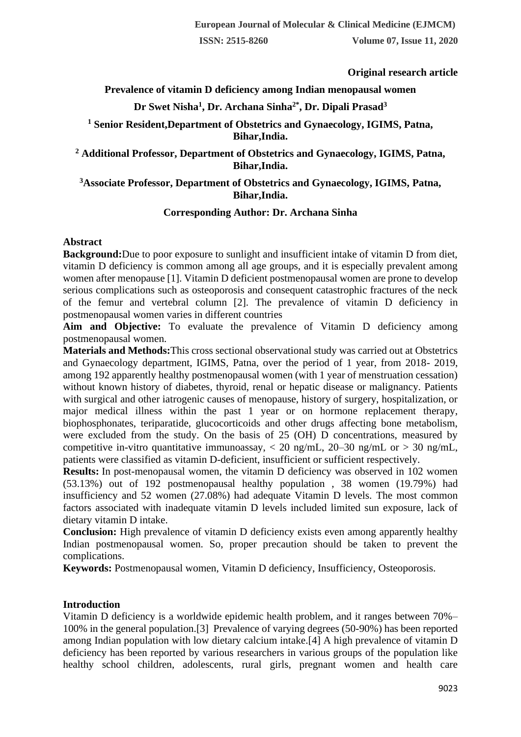**Original research article** 

# **Prevalence of vitamin D deficiency among Indian menopausal women**

# **Dr Swet Nisha<sup>1</sup> , Dr. Archana Sinha2\* , Dr. Dipali Prasad<sup>3</sup>**

**<sup>1</sup> Senior Resident,Department of Obstetrics and Gynaecology, IGIMS, Patna, Bihar,India.**

**<sup>2</sup> Additional Professor, Department of Obstetrics and Gynaecology, IGIMS, Patna, Bihar,India.**

## **<sup>3</sup>Associate Professor, Department of Obstetrics and Gynaecology, IGIMS, Patna, Bihar,India.**

### **Corresponding Author: Dr. Archana Sinha**

### **Abstract**

**Background:**Due to poor exposure to sunlight and insufficient intake of vitamin D from diet, vitamin D deficiency is common among all age groups, and it is especially prevalent among women after menopause [1]. Vitamin D deficient postmenopausal women are prone to develop serious complications such as osteoporosis and consequent catastrophic fractures of the neck of the femur and vertebral column [2]. The prevalence of vitamin D deficiency in postmenopausal women varies in different countries

**Aim and Objective:** To evaluate the prevalence of Vitamin D deficiency among postmenopausal women.

**Materials and Methods:**This cross sectional observational study was carried out at Obstetrics and Gynaecology department, IGIMS, Patna, over the period of 1 year, from 2018- 2019, among 192 apparently healthy postmenopausal women (with 1 year of menstruation cessation) without known history of diabetes, thyroid, renal or hepatic disease or malignancy. Patients with surgical and other iatrogenic causes of menopause, history of surgery, hospitalization, or major medical illness within the past 1 year or on hormone replacement therapy, biophosphonates, teriparatide, glucocorticoids and other drugs affecting bone metabolism, were excluded from the study. On the basis of 25 (OH) D concentrations, measured by competitive in-vitro quantitative immunoassay,  $<$  20 ng/mL, 20–30 ng/mL or  $>$  30 ng/mL, patients were classified as vitamin D-deficient, insufficient or sufficient respectively.

**Results:** In post-menopausal women, the vitamin D deficiency was observed in 102 women (53.13%) out of 192 postmenopausal healthy population , 38 women (19.79%) had insufficiency and 52 women (27.08%) had adequate Vitamin D levels. The most common factors associated with inadequate vitamin D levels included limited sun exposure, lack of dietary vitamin D intake.

**Conclusion:** High prevalence of vitamin D deficiency exists even among apparently healthy Indian postmenopausal women. So, proper precaution should be taken to prevent the complications.

**Keywords:** Postmenopausal women, Vitamin D deficiency, Insufficiency, Osteoporosis.

### **Introduction**

Vitamin D deficiency is a worldwide epidemic health problem, and it ranges between 70%– 100% in the general population.[3] Prevalence of varying degrees (50-90%) has been reported among Indian population with low dietary calcium intake.[4] A high prevalence of vitamin D deficiency has been reported by various researchers in various groups of the population like healthy school children, adolescents, rural girls, pregnant women and health care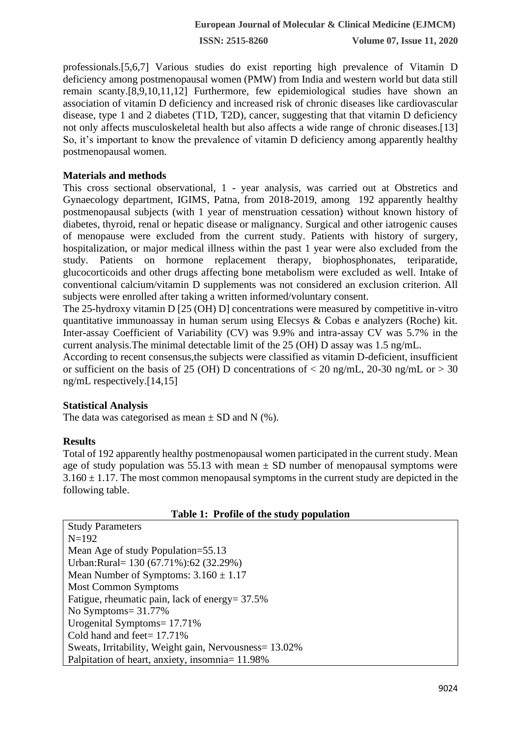**ISSN: 2515-8260 Volume 07, Issue 11, 2020**

professionals.[5,6,7] Various studies do exist reporting high prevalence of Vitamin D deficiency among postmenopausal women (PMW) from India and western world but data still remain scanty.[8,9,10,11,12] Furthermore, few epidemiological studies have shown an association of vitamin D deficiency and increased risk of chronic diseases like cardiovascular disease, type 1 and 2 diabetes (T1D, T2D), cancer, suggesting that that vitamin D deficiency not only affects musculoskeletal health but also affects a wide range of chronic diseases.[13] So, it's important to know the prevalence of vitamin D deficiency among apparently healthy postmenopausal women.

### **Materials and methods**

This cross sectional observational, 1 - year analysis, was carried out at Obstretics and Gynaecology department, IGIMS, Patna, from 2018-2019, among 192 apparently healthy postmenopausal subjects (with 1 year of menstruation cessation) without known history of diabetes, thyroid, renal or hepatic disease or malignancy. Surgical and other iatrogenic causes of menopause were excluded from the current study. Patients with history of surgery, hospitalization, or major medical illness within the past 1 year were also excluded from the study. Patients on hormone replacement therapy, biophosphonates, teriparatide, glucocorticoids and other drugs affecting bone metabolism were excluded as well. Intake of conventional calcium/vitamin D supplements was not considered an exclusion criterion. All subjects were enrolled after taking a written informed/voluntary consent.

The 25-hydroxy vitamin D [25 (OH) D] concentrations were measured by competitive in-vitro quantitative immunoassay in human serum using Elecsys & Cobas e analyzers (Roche) kit. Inter-assay Coefficient of Variability (CV) was 9.9% and intra-assay CV was 5.7% in the current analysis.The minimal detectable limit of the 25 (OH) D assay was 1.5 ng/mL.

According to recent consensus,the subjects were classified as vitamin D-deficient, insufficient or sufficient on the basis of 25 (OH) D concentrations of  $<$  20 ng/mL, 20-30 ng/mL or  $>$  30 ng/mL respectively.[14,15]

### **Statistical Analysis**

The data was categorised as mean  $\pm$  SD and N (%).

### **Results**

Total of 192 apparently healthy postmenopausal women participated in the current study. Mean age of study population was 55.13 with mean  $\pm$  SD number of menopausal symptoms were  $3.160 \pm 1.17$ . The most common menopausal symptoms in the current study are depicted in the following table.

|  |  |  |  | Table 1: Profile of the study population |
|--|--|--|--|------------------------------------------|
|--|--|--|--|------------------------------------------|

| <b>Study Parameters</b>                                |  |  |  |
|--------------------------------------------------------|--|--|--|
| $N=192$                                                |  |  |  |
| Mean Age of study Population=55.13                     |  |  |  |
| Urban:Rural= 130 (67.71%):62 (32.29%)                  |  |  |  |
| Mean Number of Symptoms: $3.160 \pm 1.17$              |  |  |  |
| <b>Most Common Symptoms</b>                            |  |  |  |
| Fatigue, rheumatic pain, lack of energy= 37.5%         |  |  |  |
| No Symptoms = $31.77\%$                                |  |  |  |
| Urogenital Symptoms= 17.71%                            |  |  |  |
| Cold hand and feet = $17.71\%$                         |  |  |  |
| Sweats, Irritability, Weight gain, Nervousness= 13.02% |  |  |  |
| Palpitation of heart, anxiety, insomnia= 11.98%        |  |  |  |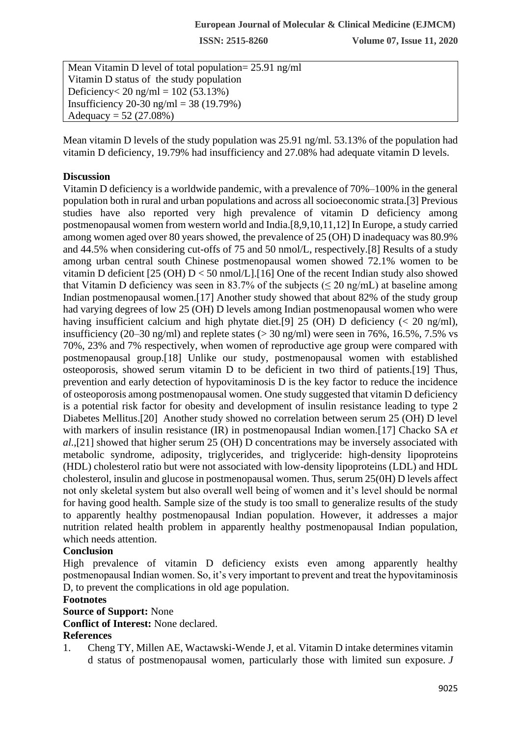**ISSN: 2515-8260 Volume 07, Issue 11, 2020**

Mean Vitamin D level of total population= 25.91 ng/ml Vitamin D status of the study population Deficiency < 20 ng/ml =  $102 (53.13%)$ Insufficiency 20-30 ng/ml = 38 (19.79%) Adequacy =  $52 (27.08%)$ 

Mean vitamin D levels of the study population was 25.91 ng/ml. 53.13% of the population had vitamin D deficiency, 19.79% had insufficiency and 27.08% had adequate vitamin D levels.

### **Discussion**

Vitamin D deficiency is a worldwide pandemic, with a prevalence of 70%–100% in the general population both in rural and urban populations and across all socioeconomic strata.[3] Previous studies have also reported very high prevalence of vitamin D deficiency among postmenopausal women from western world and India.[8,9,10,11,12] In Europe, a study carried among women aged over 80 years showed, the prevalence of 25 (OH) D inadequacy was 80.9% and 44.5% when considering cut-offs of 75 and 50 nmol/L, respectively.[8] Results of a study among urban central south Chinese postmenopausal women showed 72.1% women to be vitamin D deficient  $[25 (OH) D < 50$  nmol/L]. [16] One of the recent Indian study also showed that Vitamin D deficiency was seen in 83.7% of the subjects ( $\leq$  20 ng/mL) at baseline among Indian postmenopausal women.[17] Another study showed that about 82% of the study group had varying degrees of low 25 (OH) D levels among Indian postmenopausal women who were having insufficient calcium and high phytate diet. [9] 25 (OH) D deficiency ( $\lt$  20 ng/ml), insufficiency (20–30 ng/ml) and replete states ( $>$  30 ng/ml) were seen in 76%, 16.5%, 7.5% vs 70%, 23% and 7% respectively, when women of reproductive age group were compared with postmenopausal group.[18] Unlike our study, postmenopausal women with established osteoporosis, showed serum vitamin D to be deficient in two third of patients.[19] Thus, prevention and early detection of hypovitaminosis D is the key factor to reduce the incidence of osteoporosis among postmenopausal women. One study suggested that vitamin D deficiency is a potential risk factor for obesity and development of insulin resistance leading to type 2 Diabetes Mellitus.[20] Another study showed no correlation between serum 25 (OH) D level with markers of insulin resistance (IR) in postmenopausal Indian women.[17] Chacko SA *et al*.,[21] showed that higher serum 25 (OH) D concentrations may be inversely associated with metabolic syndrome, adiposity, triglycerides, and triglyceride: high-density lipoproteins (HDL) cholesterol ratio but were not associated with low-density lipoproteins (LDL) and HDL cholesterol, insulin and glucose in postmenopausal women. Thus, serum 25(0H) D levels affect not only skeletal system but also overall well being of women and it's level should be normal for having good health. Sample size of the study is too small to generalize results of the study to apparently healthy postmenopausal Indian population. However, it addresses a major nutrition related health problem in apparently healthy postmenopausal Indian population, which needs attention.

## **Conclusion**

High prevalence of vitamin D deficiency exists even among apparently healthy postmenopausal Indian women. So, it's very important to prevent and treat the hypovitaminosis D, to prevent the complications in old age population.

#### **Footnotes**

#### **Source of Support:** None

**Conflict of Interest:** None declared.

#### **References**

1. Cheng TY, Millen AE, Wactawski-Wende J, et al. Vitamin D intake determines vitamin d status of postmenopausal women, particularly those with limited sun exposure. *J*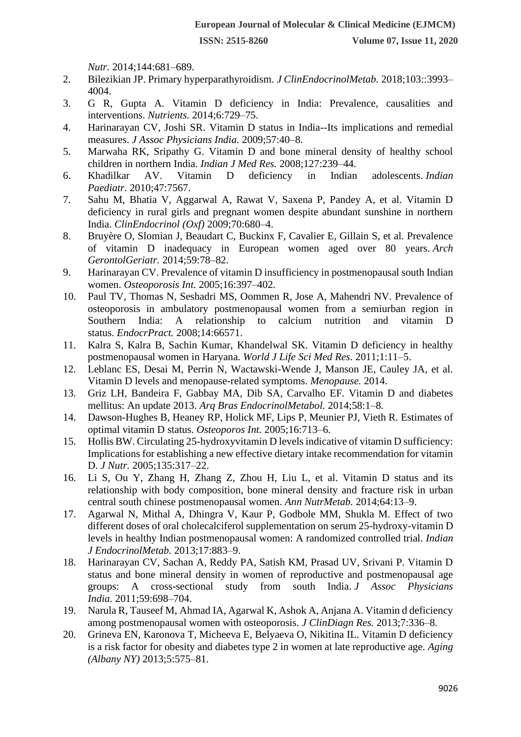*Nutr.* 2014;144:681–689.

- 2. Bilezikian JP. Primary hyperparathyroidism. *J ClinEndocrinolMetab.* 2018;103::3993– 4004.
- 3. G R, Gupta A. Vitamin D deficiency in India: Prevalence, causalities and interventions. *Nutrients.* 2014;6:729–75.
- 4. Harinarayan CV, Joshi SR. Vitamin D status in India--Its implications and remedial measures. *J Assoc Physicians India.* 2009;57:40–8.
- 5. Marwaha RK, Sripathy G. Vitamin D and bone mineral density of healthy school children in northern India. *Indian J Med Res.* 2008;127:239–44.
- 6. Khadilkar AV. Vitamin D deficiency in Indian adolescents. *Indian Paediatr.* 2010;47:7567.
- 7. Sahu M, Bhatia V, Aggarwal A, Rawat V, Saxena P, Pandey A, et al. Vitamin D deficiency in rural girls and pregnant women despite abundant sunshine in northern India. *ClinEndocrinol (Oxf)* 2009;70:680–4.
- 8. Bruyère O, Slomian J, Beaudart C, Buckinx F, Cavalier E, Gillain S, et al. Prevalence of vitamin D inadequacy in European women aged over 80 years. *Arch GerontolGeriatr.* 2014;59:78–82.
- 9. Harinarayan CV. Prevalence of vitamin D insufficiency in postmenopausal south Indian women. *Osteoporosis Int.* 2005;16:397–402.
- 10. Paul TV, Thomas N, Seshadri MS, Oommen R, Jose A, Mahendri NV. Prevalence of osteoporosis in ambulatory postmenopausal women from a semiurban region in Southern India: A relationship to calcium nutrition and vitamin D status. *EndocrPract.* 2008;14:66571.
- 11. Kalra S, Kalra B, Sachin Kumar, Khandelwal SK. Vitamin D deficiency in healthy postmenopausal women in Haryana. *World J Life Sci Med Res.* 2011;1:11–5.
- 12. Leblanc ES, Desai M, Perrin N, Wactawski-Wende J, Manson JE, Cauley JA, et al. Vitamin D levels and menopause-related symptoms. *Menopause.* 2014.
- 13. Griz LH, Bandeira F, Gabbay MA, Dib SA, Carvalho EF. Vitamin D and diabetes mellitus: An update 2013. *Arq Bras EndocrinolMetabol.* 2014;58:1–8.
- 14. Dawson-Hughes B, Heaney RP, Holick MF, Lips P, Meunier PJ, Vieth R. Estimates of optimal vitamin D status. *Osteoporos Int.* 2005;16:713–6.
- 15. Hollis BW. Circulating 25-hydroxyvitamin D levels indicative of vitamin D sufficiency: Implications for establishing a new effective dietary intake recommendation for vitamin D. *J Nutr.* 2005;135:317–22.
- 16. Li S, Ou Y, Zhang H, Zhang Z, Zhou H, Liu L, et al. Vitamin D status and its relationship with body composition, bone mineral density and fracture risk in urban central south chinese postmenopausal women. *Ann NutrMetab.* 2014;64:13–9.
- 17. Agarwal N, Mithal A, Dhingra V, Kaur P, Godbole MM, Shukla M. Effect of two different doses of oral cholecalciferol supplementation on serum 25-hydroxy-vitamin D levels in healthy Indian postmenopausal women: A randomized controlled trial. *Indian J EndocrinolMetab.* 2013;17:883–9.
- 18. Harinarayan CV, Sachan A, Reddy PA, Satish KM, Prasad UV, Srivani P. Vitamin D status and bone mineral density in women of reproductive and postmenopausal age groups: A cross-sectional study from south India. *J Assoc Physicians India.* 2011;59:698–704.
- 19. Narula R, Tauseef M, Ahmad IA, Agarwal K, Ashok A, Anjana A. Vitamin d deficiency among postmenopausal women with osteoporosis. *J ClinDiagn Res.* 2013;7:336–8.
- 20. Grineva EN, Karonova T, Micheeva E, Belyaeva O, Nikitina IL. Vitamin D deficiency is a risk factor for obesity and diabetes type 2 in women at late reproductive age. *Aging (Albany NY)* 2013;5:575–81.